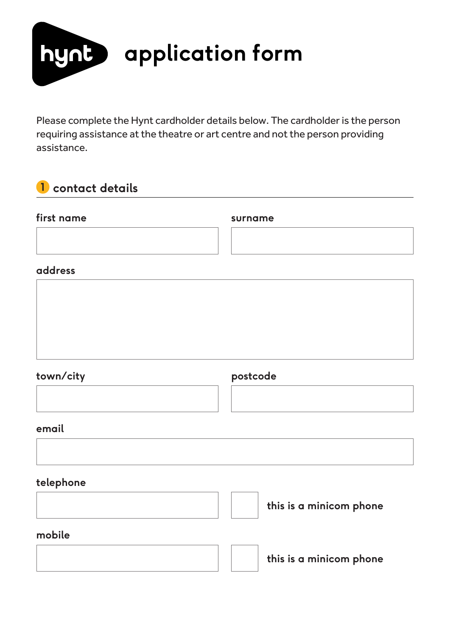

Please complete the Hynt cardholder details below. The cardholder is the person requiring assistance at the theatre or art centre and not the person providing assistance.

# **1 contact details**

| first name | surname                 |
|------------|-------------------------|
|            |                         |
| address    |                         |
|            |                         |
|            |                         |
|            |                         |
| town/city  | postcode                |
|            |                         |
| email      |                         |
|            |                         |
| telephone  |                         |
|            | this is a minicom phone |
| mobile     |                         |
|            | this is a minicom phone |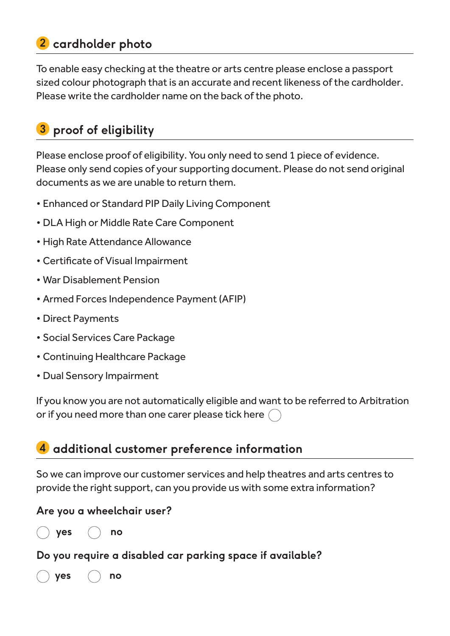# **2 cardholder photo**

To enable easy checking at the theatre or arts centre please enclose a passport sized colour photograph that is an accurate and recent likeness of the cardholder. Please write the cardholder name on the back of the photo.

# **proof of eligibility 3**

Please enclose proof of eligibility. You only need to send 1 piece of evidence. Please only send copies of your supporting document. Please do not send original documents as we are unable to return them.

- Enhanced or Standard PIP Daily Living Component
- DLA High or Middle Rate Care Component
- High Rate Attendance Allowance
- Certificate of Visual Impairment
- War Disablement Pension
- Armed Forces Independence Payment (AFIP)
- Direct Payments
- Social Services Care Package
- Continuing Healthcare Package
- Dual Sensory Impairment

If you know you are not automatically eligible and want to be referred to Arbitration or if you need more than one carer please tick here (

# **additional customer preference information 4**

So we can improve our customer services and help theatres and arts centres to provide the right support, can you provide us with some extra information?

### **Are you a wheelchair user?**

**yes no**

### **Do you require a disabled car parking space if available?**

**yes no**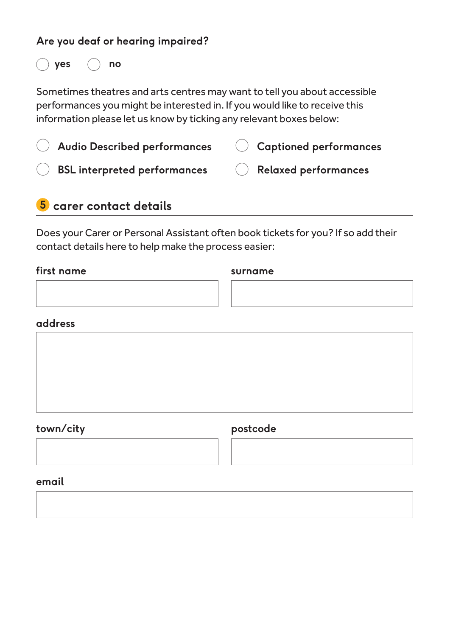### **Are you deaf or hearing impaired?**

**yes no**

Sometimes theatres and arts centres may want to tell you about accessible performances you might be interested in. If you would like to receive this information please let us know by ticking any relevant boxes below:

| Audio Described performances        | Captioned performances   |
|-------------------------------------|--------------------------|
| <b>BSL interpreted performances</b> | ( ) Relaxed performances |

# **5 carer contact details**

Does your Carer or Personal Assistant often book tickets for you? If so add their contact details here to help make the process easier:

#### **first name**

**surname**

### **address**



### **town/city**

### **postcode**

**email**